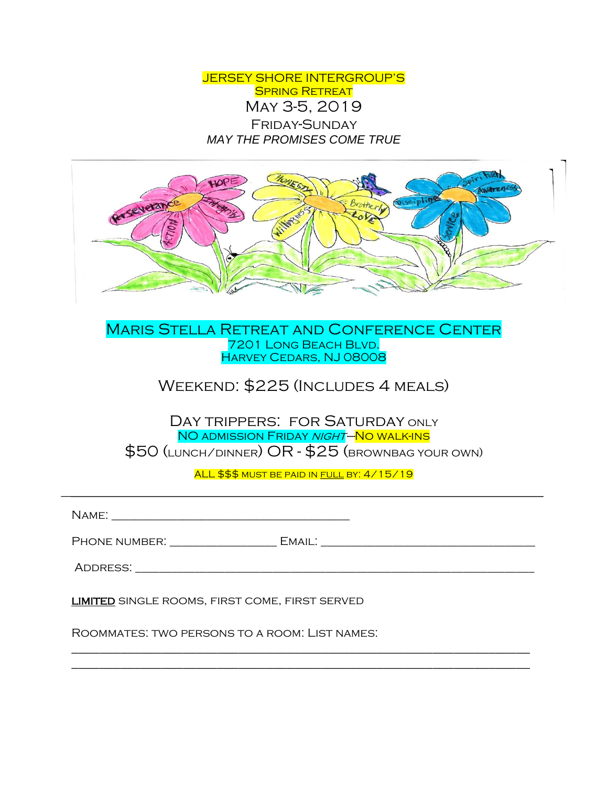JERSEY SHORE INTERGROUP'S SPRING RETREAT May 3-5, 2019 Friday-Sunday *MAY THE PROMISES COME TRUE*



Maris Stella Retreat and Conference Center 7201 Long Beach Blvd. Harvey Cedars, NJ 08008

## Weekend: \$225 (Includes 4 meals)

DAY TRIPPERS: FOR SATURDAY ONLY NO ADMISSION FRIDAY NIGHT–NO WALK-INS \$50 (lunch/dinner) OR - \$25 (brownbag your own)

ALL \$\$\$ MUST BE PAID IN FULL BY: 4/15/19

| <b>LIMITED</b> SINGLE ROOMS, FIRST COME, FIRST SERVED |  |
|-------------------------------------------------------|--|
| ROOMMATES: TWO PERSONS TO A ROOM: LIST NAMES:         |  |

\_\_\_\_\_\_\_\_\_\_\_\_\_\_\_\_\_\_\_\_\_\_\_\_\_\_\_\_\_\_\_\_\_\_\_\_\_\_\_\_\_\_\_\_\_\_\_\_\_\_\_\_\_\_\_\_\_\_\_\_\_\_\_\_\_\_